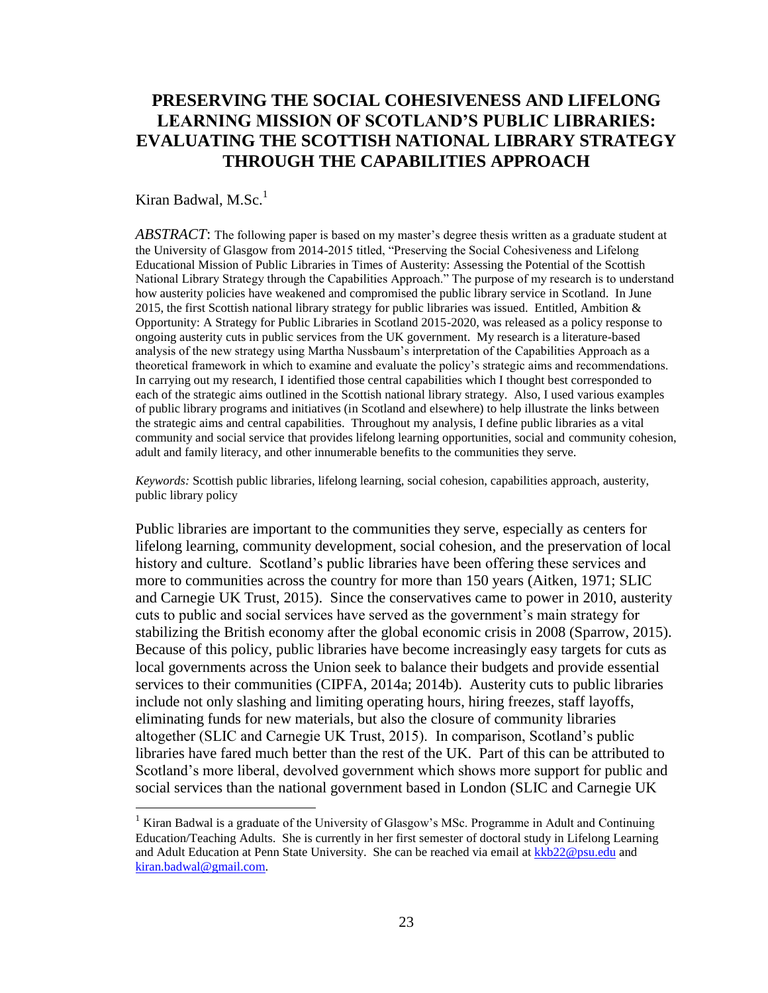# **PRESERVING THE SOCIAL COHESIVENESS AND LIFELONG LEARNING MISSION OF SCOTLAND'S PUBLIC LIBRARIES: EVALUATING THE SCOTTISH NATIONAL LIBRARY STRATEGY THROUGH THE CAPABILITIES APPROACH**

## Kiran Badwal,  $M.Sc.<sup>1</sup>$

l

*ABSTRACT*: The following paper is based on my master's degree thesis written as a graduate student at the University of Glasgow from 2014-2015 titled, "Preserving the Social Cohesiveness and Lifelong Educational Mission of Public Libraries in Times of Austerity: Assessing the Potential of the Scottish National Library Strategy through the Capabilities Approach." The purpose of my research is to understand how austerity policies have weakened and compromised the public library service in Scotland. In June 2015, the first Scottish national library strategy for public libraries was issued. Entitled, Ambition  $\&$ Opportunity: A Strategy for Public Libraries in Scotland 2015-2020, was released as a policy response to ongoing austerity cuts in public services from the UK government. My research is a literature-based analysis of the new strategy using Martha Nussbaum's interpretation of the Capabilities Approach as a theoretical framework in which to examine and evaluate the policy's strategic aims and recommendations. In carrying out my research, I identified those central capabilities which I thought best corresponded to each of the strategic aims outlined in the Scottish national library strategy. Also, I used various examples of public library programs and initiatives (in Scotland and elsewhere) to help illustrate the links between the strategic aims and central capabilities. Throughout my analysis, I define public libraries as a vital community and social service that provides lifelong learning opportunities, social and community cohesion, adult and family literacy, and other innumerable benefits to the communities they serve.

*Keywords:* Scottish public libraries, lifelong learning, social cohesion, capabilities approach, austerity, public library policy

Public libraries are important to the communities they serve, especially as centers for lifelong learning, community development, social cohesion, and the preservation of local history and culture. Scotland's public libraries have been offering these services and more to communities across the country for more than 150 years (Aitken, 1971; SLIC and Carnegie UK Trust, 2015). Since the conservatives came to power in 2010, austerity cuts to public and social services have served as the government's main strategy for stabilizing the British economy after the global economic crisis in 2008 (Sparrow, 2015). Because of this policy, public libraries have become increasingly easy targets for cuts as local governments across the Union seek to balance their budgets and provide essential services to their communities (CIPFA, 2014a; 2014b). Austerity cuts to public libraries include not only slashing and limiting operating hours, hiring freezes, staff layoffs, eliminating funds for new materials, but also the closure of community libraries altogether (SLIC and Carnegie UK Trust, 2015). In comparison, Scotland's public libraries have fared much better than the rest of the UK. Part of this can be attributed to Scotland's more liberal, devolved government which shows more support for public and social services than the national government based in London (SLIC and Carnegie UK

<sup>&</sup>lt;sup>1</sup> Kiran Badwal is a graduate of the University of Glasgow's MSc. Programme in Adult and Continuing Education/Teaching Adults. She is currently in her first semester of doctoral study in Lifelong Learning and Adult Education at Penn State University. She can be reached via email at [kkb22@psu.edu](mailto:kkb22@psu.edu) and [kiran.badwal@gmail.com.](mailto:kiran.badwal@gmail.com)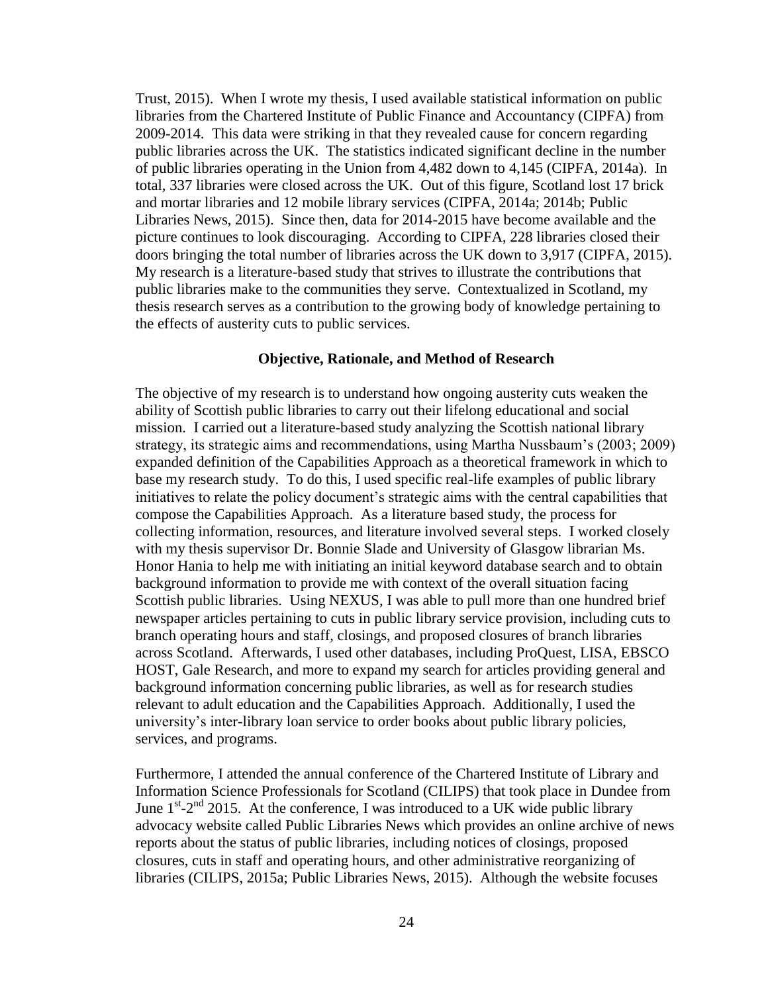Trust, 2015). When I wrote my thesis, I used available statistical information on public libraries from the Chartered Institute of Public Finance and Accountancy (CIPFA) from 2009-2014. This data were striking in that they revealed cause for concern regarding public libraries across the UK. The statistics indicated significant decline in the number of public libraries operating in the Union from 4,482 down to 4,145 (CIPFA, 2014a). In total, 337 libraries were closed across the UK. Out of this figure, Scotland lost 17 brick and mortar libraries and 12 mobile library services (CIPFA, 2014a; 2014b; Public Libraries News, 2015). Since then, data for 2014-2015 have become available and the picture continues to look discouraging. According to CIPFA, 228 libraries closed their doors bringing the total number of libraries across the UK down to 3,917 (CIPFA, 2015). My research is a literature-based study that strives to illustrate the contributions that public libraries make to the communities they serve. Contextualized in Scotland, my thesis research serves as a contribution to the growing body of knowledge pertaining to the effects of austerity cuts to public services.

## **Objective, Rationale, and Method of Research**

The objective of my research is to understand how ongoing austerity cuts weaken the ability of Scottish public libraries to carry out their lifelong educational and social mission. I carried out a literature-based study analyzing the Scottish national library strategy, its strategic aims and recommendations, using Martha Nussbaum's (2003; 2009) expanded definition of the Capabilities Approach as a theoretical framework in which to base my research study. To do this, I used specific real-life examples of public library initiatives to relate the policy document's strategic aims with the central capabilities that compose the Capabilities Approach. As a literature based study, the process for collecting information, resources, and literature involved several steps. I worked closely with my thesis supervisor Dr. Bonnie Slade and University of Glasgow librarian Ms. Honor Hania to help me with initiating an initial keyword database search and to obtain background information to provide me with context of the overall situation facing Scottish public libraries. Using NEXUS, I was able to pull more than one hundred brief newspaper articles pertaining to cuts in public library service provision, including cuts to branch operating hours and staff, closings, and proposed closures of branch libraries across Scotland. Afterwards, I used other databases, including ProQuest, LISA, EBSCO HOST, Gale Research, and more to expand my search for articles providing general and background information concerning public libraries, as well as for research studies relevant to adult education and the Capabilities Approach. Additionally, I used the university's inter-library loan service to order books about public library policies, services, and programs.

Furthermore, I attended the annual conference of the Chartered Institute of Library and Information Science Professionals for Scotland (CILIPS) that took place in Dundee from June  $1<sup>st</sup> - 2<sup>nd</sup>$  2015. At the conference, I was introduced to a UK wide public library advocacy website called Public Libraries News which provides an online archive of news reports about the status of public libraries, including notices of closings, proposed closures, cuts in staff and operating hours, and other administrative reorganizing of libraries (CILIPS, 2015a; Public Libraries News, 2015). Although the website focuses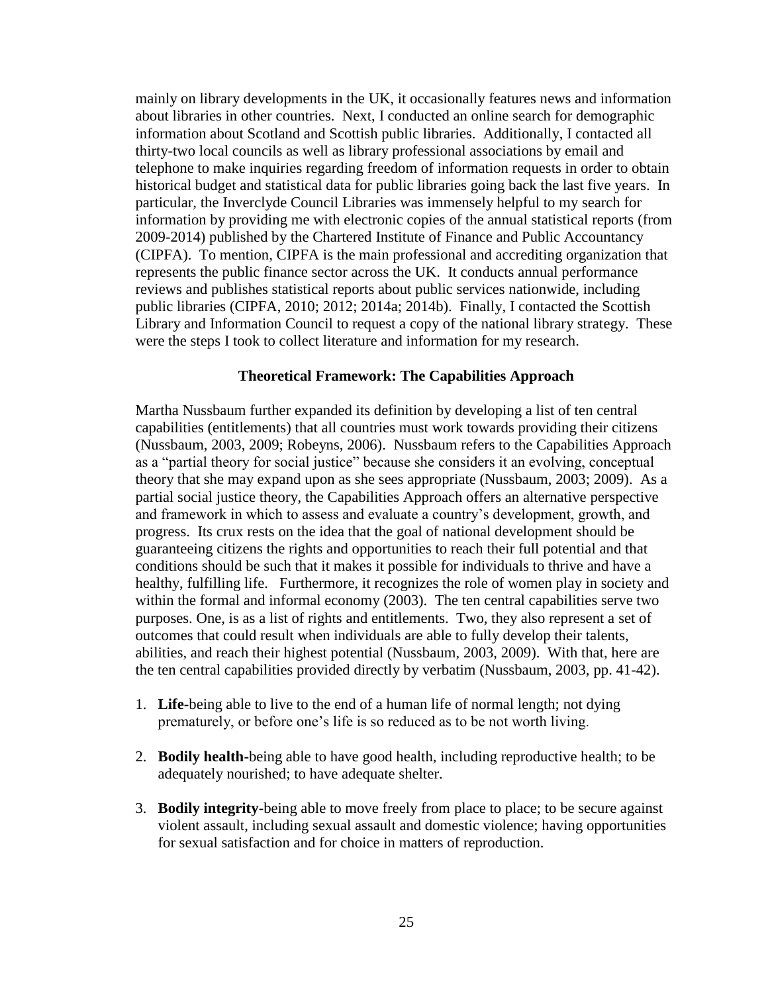mainly on library developments in the UK, it occasionally features news and information about libraries in other countries. Next, I conducted an online search for demographic information about Scotland and Scottish public libraries. Additionally, I contacted all thirty-two local councils as well as library professional associations by email and telephone to make inquiries regarding freedom of information requests in order to obtain historical budget and statistical data for public libraries going back the last five years. In particular, the Inverclyde Council Libraries was immensely helpful to my search for information by providing me with electronic copies of the annual statistical reports (from 2009-2014) published by the Chartered Institute of Finance and Public Accountancy (CIPFA). To mention, CIPFA is the main professional and accrediting organization that represents the public finance sector across the UK. It conducts annual performance reviews and publishes statistical reports about public services nationwide, including public libraries (CIPFA, 2010; 2012; 2014a; 2014b). Finally, I contacted the Scottish Library and Information Council to request a copy of the national library strategy. These were the steps I took to collect literature and information for my research.

## **Theoretical Framework: The Capabilities Approach**

Martha Nussbaum further expanded its definition by developing a list of ten central capabilities (entitlements) that all countries must work towards providing their citizens (Nussbaum, 2003, 2009; Robeyns, 2006). Nussbaum refers to the Capabilities Approach as a "partial theory for social justice" because she considers it an evolving, conceptual theory that she may expand upon as she sees appropriate (Nussbaum, 2003; 2009). As a partial social justice theory, the Capabilities Approach offers an alternative perspective and framework in which to assess and evaluate a country's development, growth, and progress. Its crux rests on the idea that the goal of national development should be guaranteeing citizens the rights and opportunities to reach their full potential and that conditions should be such that it makes it possible for individuals to thrive and have a healthy, fulfilling life. Furthermore, it recognizes the role of women play in society and within the formal and informal economy (2003). The ten central capabilities serve two purposes. One, is as a list of rights and entitlements. Two, they also represent a set of outcomes that could result when individuals are able to fully develop their talents, abilities, and reach their highest potential (Nussbaum, 2003, 2009). With that, here are the ten central capabilities provided directly by verbatim (Nussbaum, 2003, pp. 41-42).

- 1. **Life-**being able to live to the end of a human life of normal length; not dying prematurely, or before one's life is so reduced as to be not worth living.
- 2. **Bodily health-**being able to have good health, including reproductive health; to be adequately nourished; to have adequate shelter.
- 3. **Bodily integrity-**being able to move freely from place to place; to be secure against violent assault, including sexual assault and domestic violence; having opportunities for sexual satisfaction and for choice in matters of reproduction.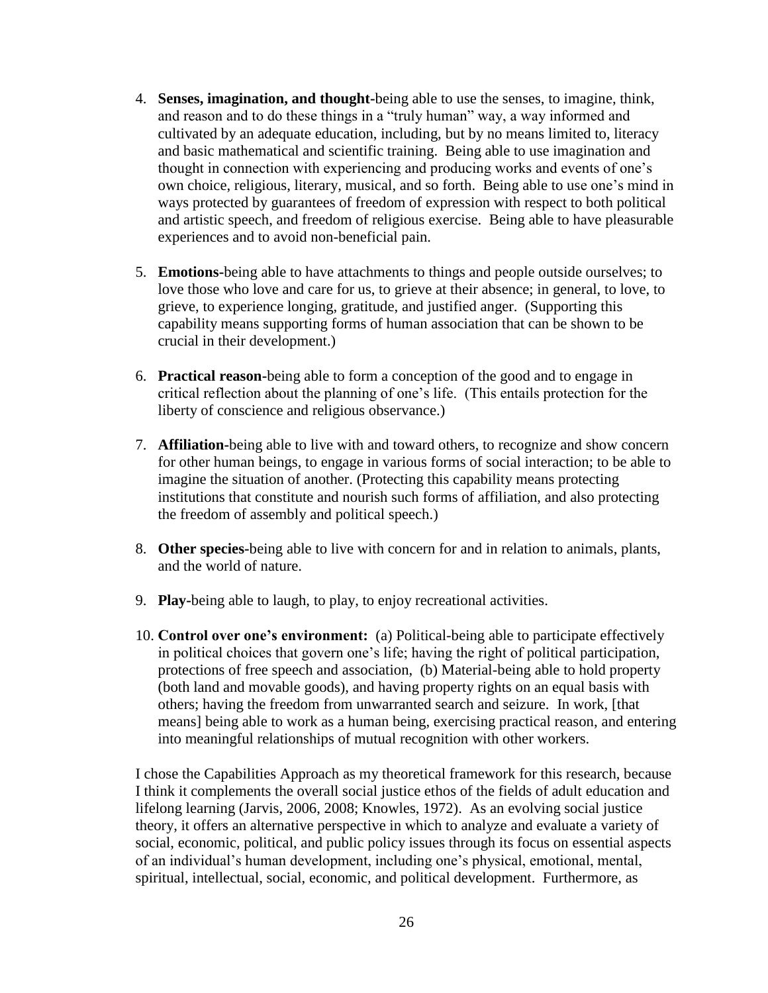- 4. **Senses, imagination, and thought-**being able to use the senses, to imagine, think, and reason and to do these things in a "truly human" way, a way informed and cultivated by an adequate education, including, but by no means limited to, literacy and basic mathematical and scientific training. Being able to use imagination and thought in connection with experiencing and producing works and events of one's own choice, religious, literary, musical, and so forth. Being able to use one's mind in ways protected by guarantees of freedom of expression with respect to both political and artistic speech, and freedom of religious exercise. Being able to have pleasurable experiences and to avoid non-beneficial pain.
- 5. **Emotions-**being able to have attachments to things and people outside ourselves; to love those who love and care for us, to grieve at their absence; in general, to love, to grieve, to experience longing, gratitude, and justified anger. (Supporting this capability means supporting forms of human association that can be shown to be crucial in their development.)
- 6. **Practical reason-**being able to form a conception of the good and to engage in critical reflection about the planning of one's life. (This entails protection for the liberty of conscience and religious observance.)
- 7. **Affiliation-**being able to live with and toward others, to recognize and show concern for other human beings, to engage in various forms of social interaction; to be able to imagine the situation of another. (Protecting this capability means protecting institutions that constitute and nourish such forms of affiliation, and also protecting the freedom of assembly and political speech.)
- 8. **Other species-**being able to live with concern for and in relation to animals, plants, and the world of nature.
- 9. **Play-**being able to laugh, to play, to enjoy recreational activities.
- 10. **Control over one's environment:** (a) Political-being able to participate effectively in political choices that govern one's life; having the right of political participation, protections of free speech and association, (b) Material-being able to hold property (both land and movable goods), and having property rights on an equal basis with others; having the freedom from unwarranted search and seizure. In work, [that means] being able to work as a human being, exercising practical reason, and entering into meaningful relationships of mutual recognition with other workers.

I chose the Capabilities Approach as my theoretical framework for this research, because I think it complements the overall social justice ethos of the fields of adult education and lifelong learning (Jarvis, 2006, 2008; Knowles, 1972). As an evolving social justice theory, it offers an alternative perspective in which to analyze and evaluate a variety of social, economic, political, and public policy issues through its focus on essential aspects of an individual's human development, including one's physical, emotional, mental, spiritual, intellectual, social, economic, and political development. Furthermore, as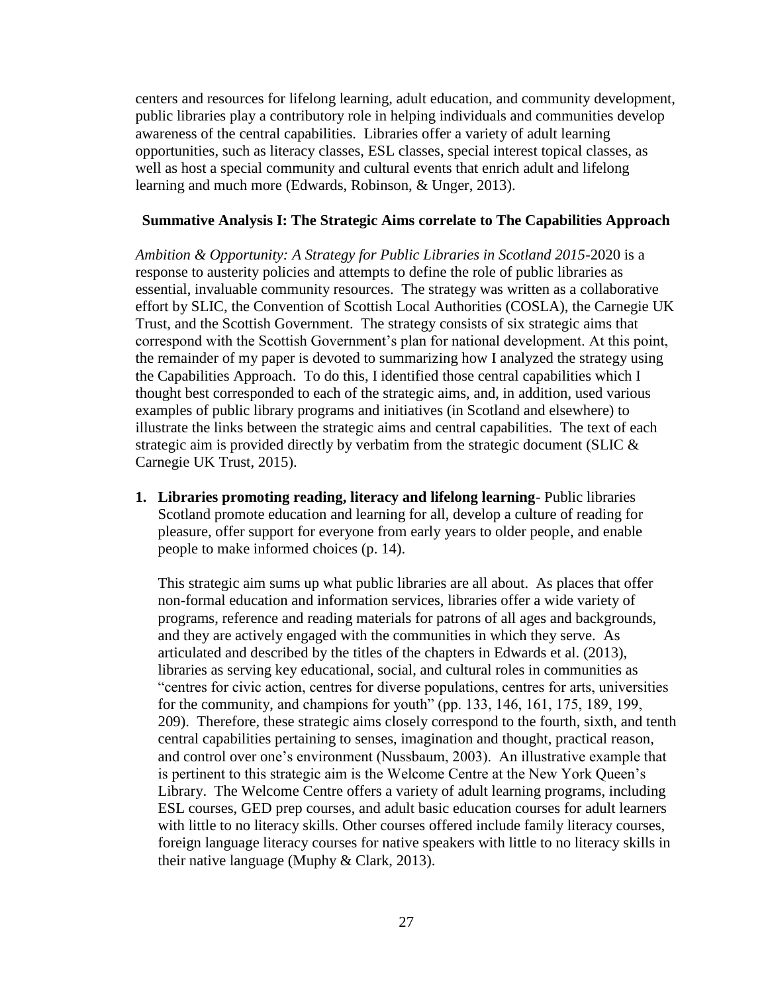centers and resources for lifelong learning, adult education, and community development, public libraries play a contributory role in helping individuals and communities develop awareness of the central capabilities. Libraries offer a variety of adult learning opportunities, such as literacy classes, ESL classes, special interest topical classes, as well as host a special community and cultural events that enrich adult and lifelong learning and much more (Edwards, Robinson, & Unger, 2013).

## **Summative Analysis I: The Strategic Aims correlate to The Capabilities Approach**

*Ambition & Opportunity: A Strategy for Public Libraries in Scotland 2015*-2020 is a response to austerity policies and attempts to define the role of public libraries as essential, invaluable community resources. The strategy was written as a collaborative effort by SLIC, the Convention of Scottish Local Authorities (COSLA), the Carnegie UK Trust, and the Scottish Government. The strategy consists of six strategic aims that correspond with the Scottish Government's plan for national development. At this point, the remainder of my paper is devoted to summarizing how I analyzed the strategy using the Capabilities Approach. To do this, I identified those central capabilities which I thought best corresponded to each of the strategic aims, and, in addition, used various examples of public library programs and initiatives (in Scotland and elsewhere) to illustrate the links between the strategic aims and central capabilities. The text of each strategic aim is provided directly by verbatim from the strategic document (SLIC & Carnegie UK Trust, 2015).

**1. Libraries promoting reading, literacy and lifelong learning**- Public libraries Scotland promote education and learning for all, develop a culture of reading for pleasure, offer support for everyone from early years to older people, and enable people to make informed choices (p. 14).

This strategic aim sums up what public libraries are all about. As places that offer non-formal education and information services, libraries offer a wide variety of programs, reference and reading materials for patrons of all ages and backgrounds, and they are actively engaged with the communities in which they serve. As articulated and described by the titles of the chapters in Edwards et al. (2013), libraries as serving key educational, social, and cultural roles in communities as "centres for civic action, centres for diverse populations, centres for arts, universities for the community, and champions for youth" (pp. 133, 146, 161, 175, 189, 199, 209). Therefore, these strategic aims closely correspond to the fourth, sixth, and tenth central capabilities pertaining to senses, imagination and thought, practical reason, and control over one's environment (Nussbaum, 2003). An illustrative example that is pertinent to this strategic aim is the Welcome Centre at the New York Queen's Library. The Welcome Centre offers a variety of adult learning programs, including ESL courses, GED prep courses, and adult basic education courses for adult learners with little to no literacy skills. Other courses offered include family literacy courses, foreign language literacy courses for native speakers with little to no literacy skills in their native language (Muphy & Clark, 2013).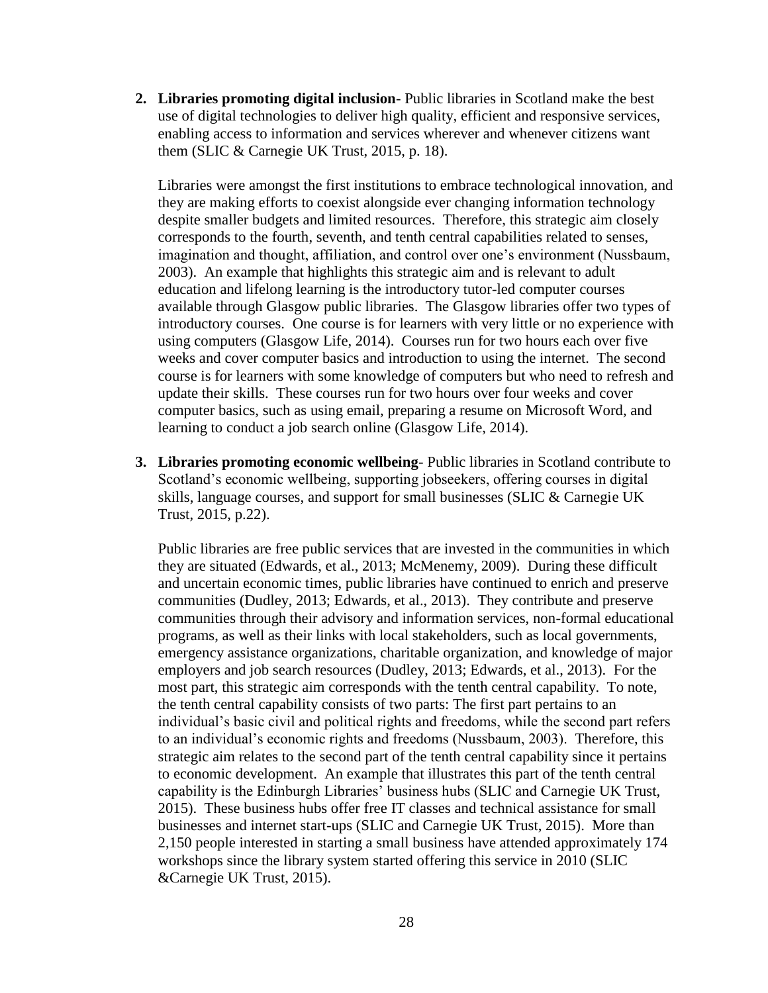**2. Libraries promoting digital inclusion**- Public libraries in Scotland make the best use of digital technologies to deliver high quality, efficient and responsive services, enabling access to information and services wherever and whenever citizens want them (SLIC & Carnegie UK Trust, 2015, p. 18).

Libraries were amongst the first institutions to embrace technological innovation, and they are making efforts to coexist alongside ever changing information technology despite smaller budgets and limited resources. Therefore, this strategic aim closely corresponds to the fourth, seventh, and tenth central capabilities related to senses, imagination and thought, affiliation, and control over one's environment (Nussbaum, 2003). An example that highlights this strategic aim and is relevant to adult education and lifelong learning is the introductory tutor-led computer courses available through Glasgow public libraries. The Glasgow libraries offer two types of introductory courses. One course is for learners with very little or no experience with using computers (Glasgow Life, 2014). Courses run for two hours each over five weeks and cover computer basics and introduction to using the internet. The second course is for learners with some knowledge of computers but who need to refresh and update their skills. These courses run for two hours over four weeks and cover computer basics, such as using email, preparing a resume on Microsoft Word, and learning to conduct a job search online (Glasgow Life, 2014).

**3. Libraries promoting economic wellbeing**- Public libraries in Scotland contribute to Scotland's economic wellbeing, supporting jobseekers, offering courses in digital skills, language courses, and support for small businesses (SLIC & Carnegie UK Trust, 2015, p.22).

Public libraries are free public services that are invested in the communities in which they are situated (Edwards, et al., 2013; McMenemy, 2009). During these difficult and uncertain economic times, public libraries have continued to enrich and preserve communities (Dudley, 2013; Edwards, et al., 2013). They contribute and preserve communities through their advisory and information services, non-formal educational programs, as well as their links with local stakeholders, such as local governments, emergency assistance organizations, charitable organization, and knowledge of major employers and job search resources (Dudley, 2013; Edwards, et al., 2013). For the most part, this strategic aim corresponds with the tenth central capability. To note, the tenth central capability consists of two parts: The first part pertains to an individual's basic civil and political rights and freedoms, while the second part refers to an individual's economic rights and freedoms (Nussbaum, 2003). Therefore, this strategic aim relates to the second part of the tenth central capability since it pertains to economic development. An example that illustrates this part of the tenth central capability is the Edinburgh Libraries' business hubs (SLIC and Carnegie UK Trust, 2015). These business hubs offer free IT classes and technical assistance for small businesses and internet start-ups (SLIC and Carnegie UK Trust, 2015). More than 2,150 people interested in starting a small business have attended approximately 174 workshops since the library system started offering this service in 2010 (SLIC &Carnegie UK Trust, 2015).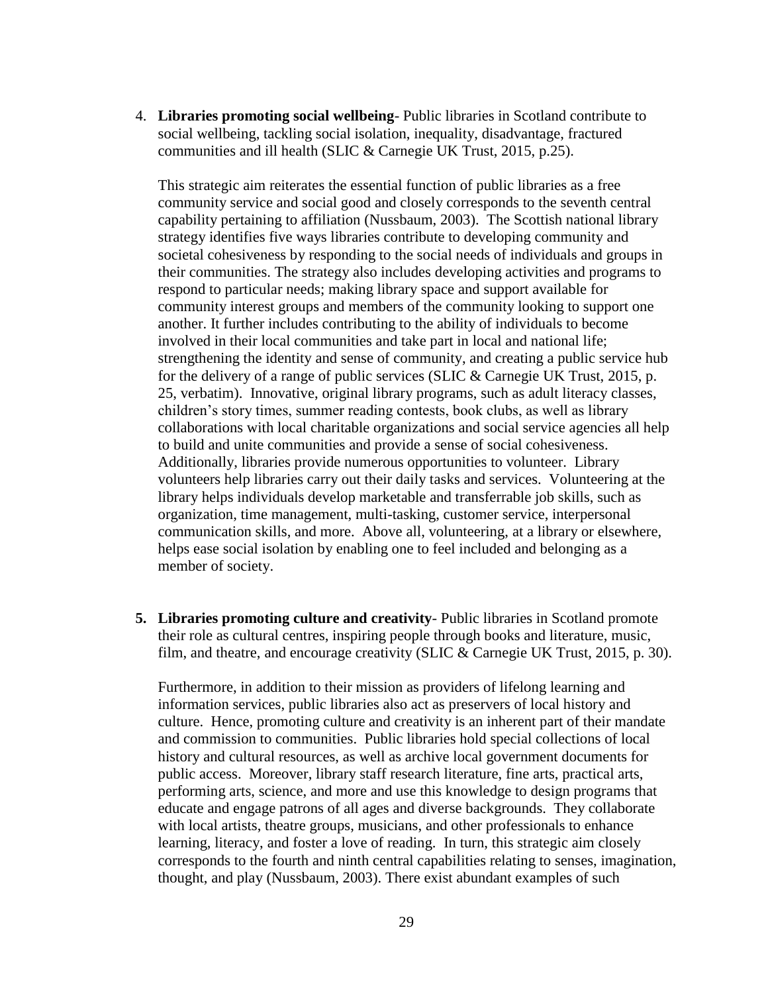4. **Libraries promoting social wellbeing**- Public libraries in Scotland contribute to social wellbeing, tackling social isolation, inequality, disadvantage, fractured communities and ill health (SLIC & Carnegie UK Trust, 2015, p.25).

This strategic aim reiterates the essential function of public libraries as a free community service and social good and closely corresponds to the seventh central capability pertaining to affiliation (Nussbaum, 2003). The Scottish national library strategy identifies five ways libraries contribute to developing community and societal cohesiveness by responding to the social needs of individuals and groups in their communities. The strategy also includes developing activities and programs to respond to particular needs; making library space and support available for community interest groups and members of the community looking to support one another. It further includes contributing to the ability of individuals to become involved in their local communities and take part in local and national life; strengthening the identity and sense of community, and creating a public service hub for the delivery of a range of public services (SLIC & Carnegie UK Trust, 2015, p. 25, verbatim). Innovative, original library programs, such as adult literacy classes, children's story times, summer reading contests, book clubs, as well as library collaborations with local charitable organizations and social service agencies all help to build and unite communities and provide a sense of social cohesiveness. Additionally, libraries provide numerous opportunities to volunteer. Library volunteers help libraries carry out their daily tasks and services. Volunteering at the library helps individuals develop marketable and transferrable job skills, such as organization, time management, multi-tasking, customer service, interpersonal communication skills, and more. Above all, volunteering, at a library or elsewhere, helps ease social isolation by enabling one to feel included and belonging as a member of society.

**5. Libraries promoting culture and creativity**- Public libraries in Scotland promote their role as cultural centres, inspiring people through books and literature, music, film, and theatre, and encourage creativity (SLIC & Carnegie UK Trust, 2015, p. 30).

Furthermore, in addition to their mission as providers of lifelong learning and information services, public libraries also act as preservers of local history and culture. Hence, promoting culture and creativity is an inherent part of their mandate and commission to communities. Public libraries hold special collections of local history and cultural resources, as well as archive local government documents for public access. Moreover, library staff research literature, fine arts, practical arts, performing arts, science, and more and use this knowledge to design programs that educate and engage patrons of all ages and diverse backgrounds. They collaborate with local artists, theatre groups, musicians, and other professionals to enhance learning, literacy, and foster a love of reading. In turn, this strategic aim closely corresponds to the fourth and ninth central capabilities relating to senses, imagination, thought, and play (Nussbaum, 2003). There exist abundant examples of such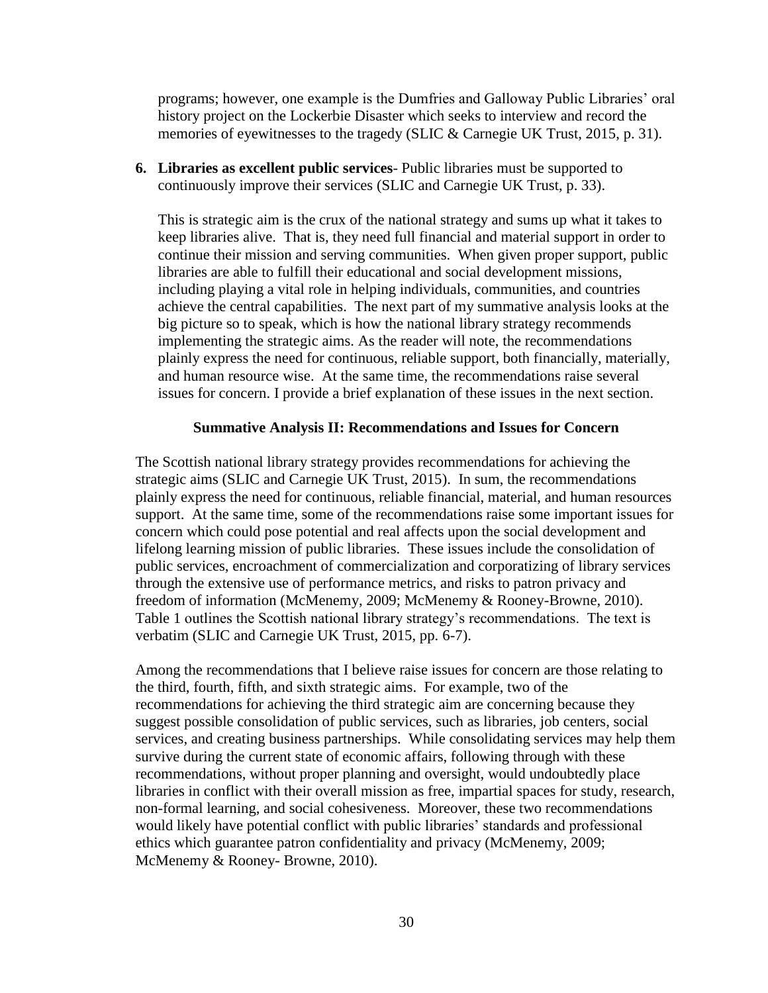programs; however, one example is the Dumfries and Galloway Public Libraries' oral history project on the Lockerbie Disaster which seeks to interview and record the memories of eyewitnesses to the tragedy (SLIC & Carnegie UK Trust, 2015, p. 31).

**6. Libraries as excellent public services**- Public libraries must be supported to continuously improve their services (SLIC and Carnegie UK Trust, p. 33).

This is strategic aim is the crux of the national strategy and sums up what it takes to keep libraries alive. That is, they need full financial and material support in order to continue their mission and serving communities. When given proper support, public libraries are able to fulfill their educational and social development missions, including playing a vital role in helping individuals, communities, and countries achieve the central capabilities. The next part of my summative analysis looks at the big picture so to speak, which is how the national library strategy recommends implementing the strategic aims. As the reader will note, the recommendations plainly express the need for continuous, reliable support, both financially, materially, and human resource wise. At the same time, the recommendations raise several issues for concern. I provide a brief explanation of these issues in the next section.

## **Summative Analysis II: Recommendations and Issues for Concern**

The Scottish national library strategy provides recommendations for achieving the strategic aims (SLIC and Carnegie UK Trust, 2015). In sum, the recommendations plainly express the need for continuous, reliable financial, material, and human resources support. At the same time, some of the recommendations raise some important issues for concern which could pose potential and real affects upon the social development and lifelong learning mission of public libraries. These issues include the consolidation of public services, encroachment of commercialization and corporatizing of library services through the extensive use of performance metrics, and risks to patron privacy and freedom of information (McMenemy, 2009; McMenemy & Rooney-Browne, 2010). Table 1 outlines the Scottish national library strategy's recommendations. The text is verbatim (SLIC and Carnegie UK Trust, 2015, pp. 6-7).

Among the recommendations that I believe raise issues for concern are those relating to the third, fourth, fifth, and sixth strategic aims. For example, two of the recommendations for achieving the third strategic aim are concerning because they suggest possible consolidation of public services, such as libraries, job centers, social services, and creating business partnerships. While consolidating services may help them survive during the current state of economic affairs, following through with these recommendations, without proper planning and oversight, would undoubtedly place libraries in conflict with their overall mission as free, impartial spaces for study, research, non-formal learning, and social cohesiveness. Moreover, these two recommendations would likely have potential conflict with public libraries' standards and professional ethics which guarantee patron confidentiality and privacy (McMenemy, 2009; McMenemy & Rooney- Browne, 2010).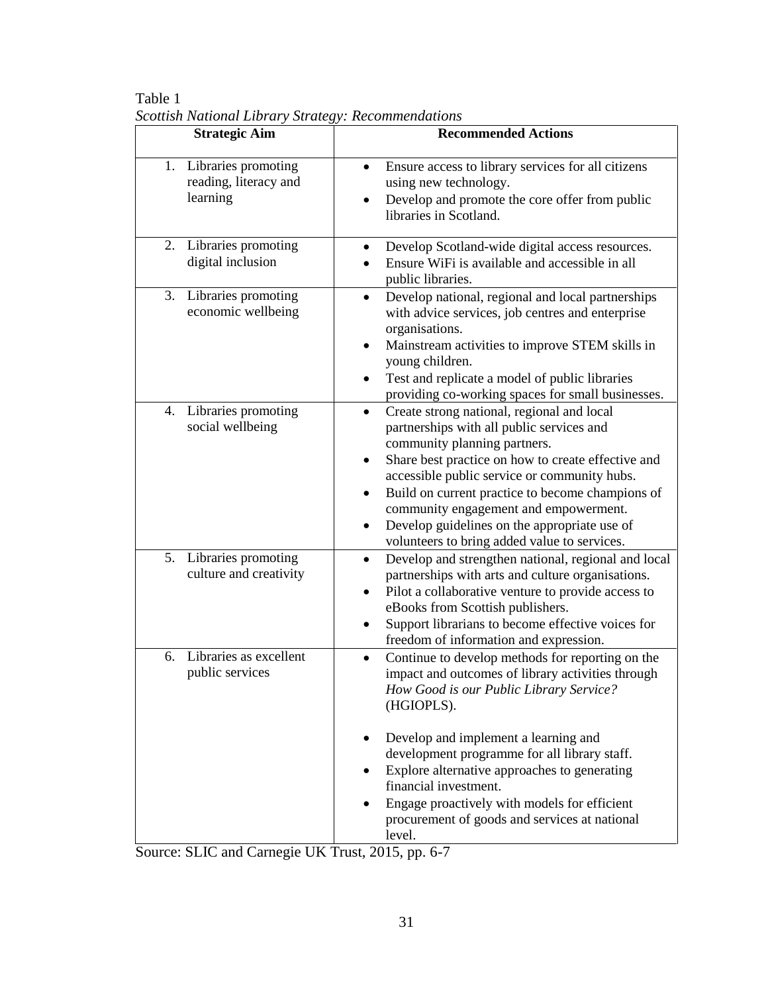| <b>Strategic Aim</b>                                           | <b>Recommended Actions</b>                                                                                                                                                                                                                                                                                                                                                                                                                             |
|----------------------------------------------------------------|--------------------------------------------------------------------------------------------------------------------------------------------------------------------------------------------------------------------------------------------------------------------------------------------------------------------------------------------------------------------------------------------------------------------------------------------------------|
| Libraries promoting<br>1.<br>reading, literacy and<br>learning | Ensure access to library services for all citizens<br>using new technology.<br>Develop and promote the core offer from public<br>libraries in Scotland.                                                                                                                                                                                                                                                                                                |
| Libraries promoting<br>2.<br>digital inclusion                 | Develop Scotland-wide digital access resources.<br>٠<br>Ensure WiFi is available and accessible in all<br>public libraries.                                                                                                                                                                                                                                                                                                                            |
| 3.<br>Libraries promoting<br>economic wellbeing                | Develop national, regional and local partnerships<br>$\bullet$<br>with advice services, job centres and enterprise<br>organisations.<br>Mainstream activities to improve STEM skills in<br>$\bullet$<br>young children.<br>Test and replicate a model of public libraries<br>providing co-working spaces for small businesses.                                                                                                                         |
| Libraries promoting<br>4.<br>social wellbeing                  | Create strong national, regional and local<br>$\bullet$<br>partnerships with all public services and<br>community planning partners.<br>Share best practice on how to create effective and<br>٠<br>accessible public service or community hubs.<br>Build on current practice to become champions of<br>٠<br>community engagement and empowerment.<br>Develop guidelines on the appropriate use of<br>٠<br>volunteers to bring added value to services. |
| 5. Libraries promoting<br>culture and creativity               | Develop and strengthen national, regional and local<br>$\bullet$<br>partnerships with arts and culture organisations.<br>Pilot a collaborative venture to provide access to<br>٠<br>eBooks from Scottish publishers.<br>Support librarians to become effective voices for<br>freedom of information and expression.                                                                                                                                    |
| Libraries as excellent<br>6.<br>public services                | Continue to develop methods for reporting on the<br>$\bullet$<br>impact and outcomes of library activities through<br>How Good is our Public Library Service?<br>(HGIOPLS).                                                                                                                                                                                                                                                                            |
|                                                                | Develop and implement a learning and<br>$\bullet$<br>development programme for all library staff.<br>Explore alternative approaches to generating<br>financial investment.<br>Engage proactively with models for efficient<br>procurement of goods and services at national<br>level.                                                                                                                                                                  |

Table 1 *Scottish National Library Strategy: Recommendations*

Source: SLIC and Carnegie UK Trust, 2015, pp. 6-7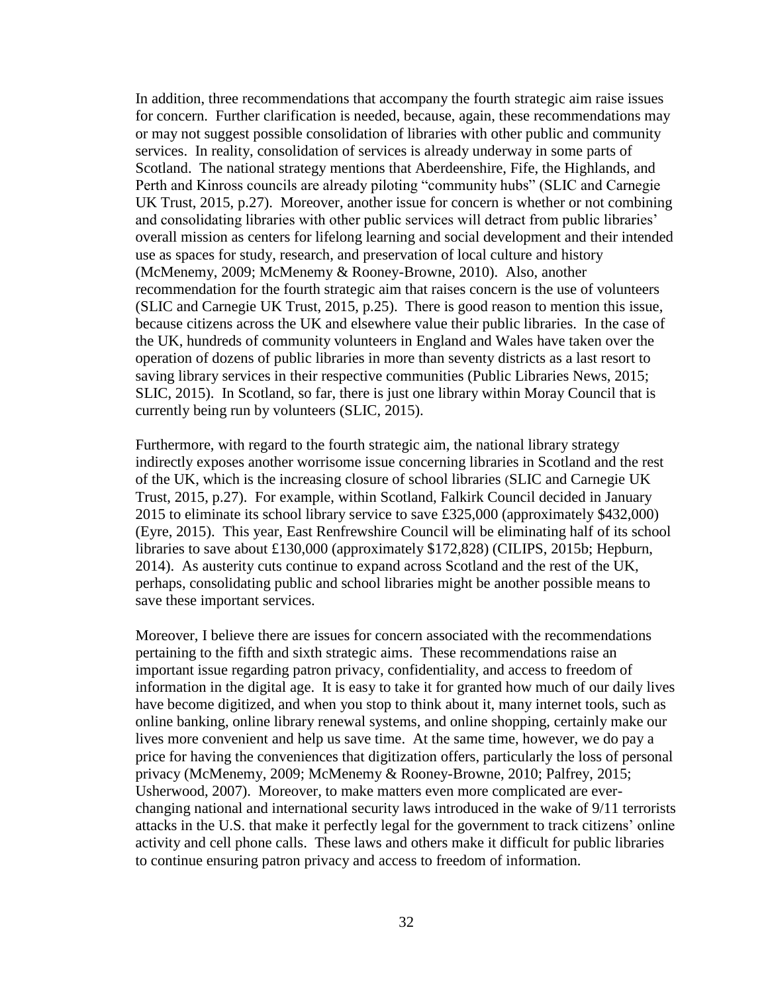In addition, three recommendations that accompany the fourth strategic aim raise issues for concern. Further clarification is needed, because, again, these recommendations may or may not suggest possible consolidation of libraries with other public and community services. In reality, consolidation of services is already underway in some parts of Scotland. The national strategy mentions that Aberdeenshire, Fife, the Highlands, and Perth and Kinross councils are already piloting "community hubs" (SLIC and Carnegie UK Trust, 2015, p.27). Moreover, another issue for concern is whether or not combining and consolidating libraries with other public services will detract from public libraries' overall mission as centers for lifelong learning and social development and their intended use as spaces for study, research, and preservation of local culture and history (McMenemy, 2009; McMenemy & Rooney-Browne, 2010). Also, another recommendation for the fourth strategic aim that raises concern is the use of volunteers (SLIC and Carnegie UK Trust, 2015, p.25). There is good reason to mention this issue, because citizens across the UK and elsewhere value their public libraries. In the case of the UK, hundreds of community volunteers in England and Wales have taken over the operation of dozens of public libraries in more than seventy districts as a last resort to saving library services in their respective communities (Public Libraries News, 2015; SLIC, 2015). In Scotland, so far, there is just one library within Moray Council that is currently being run by volunteers (SLIC, 2015).

Furthermore, with regard to the fourth strategic aim, the national library strategy indirectly exposes another worrisome issue concerning libraries in Scotland and the rest of the UK, which is the increasing closure of school libraries (SLIC and Carnegie UK Trust, 2015, p.27). For example, within Scotland, Falkirk Council decided in January 2015 to eliminate its school library service to save £325,000 (approximately \$432,000) (Eyre, 2015). This year, East Renfrewshire Council will be eliminating half of its school libraries to save about £130,000 (approximately \$172,828) (CILIPS, 2015b; Hepburn, 2014). As austerity cuts continue to expand across Scotland and the rest of the UK, perhaps, consolidating public and school libraries might be another possible means to save these important services.

Moreover, I believe there are issues for concern associated with the recommendations pertaining to the fifth and sixth strategic aims. These recommendations raise an important issue regarding patron privacy, confidentiality, and access to freedom of information in the digital age. It is easy to take it for granted how much of our daily lives have become digitized, and when you stop to think about it, many internet tools, such as online banking, online library renewal systems, and online shopping, certainly make our lives more convenient and help us save time. At the same time, however, we do pay a price for having the conveniences that digitization offers, particularly the loss of personal privacy (McMenemy, 2009; McMenemy & Rooney-Browne, 2010; Palfrey, 2015; Usherwood, 2007). Moreover, to make matters even more complicated are everchanging national and international security laws introduced in the wake of 9/11 terrorists attacks in the U.S. that make it perfectly legal for the government to track citizens' online activity and cell phone calls. These laws and others make it difficult for public libraries to continue ensuring patron privacy and access to freedom of information.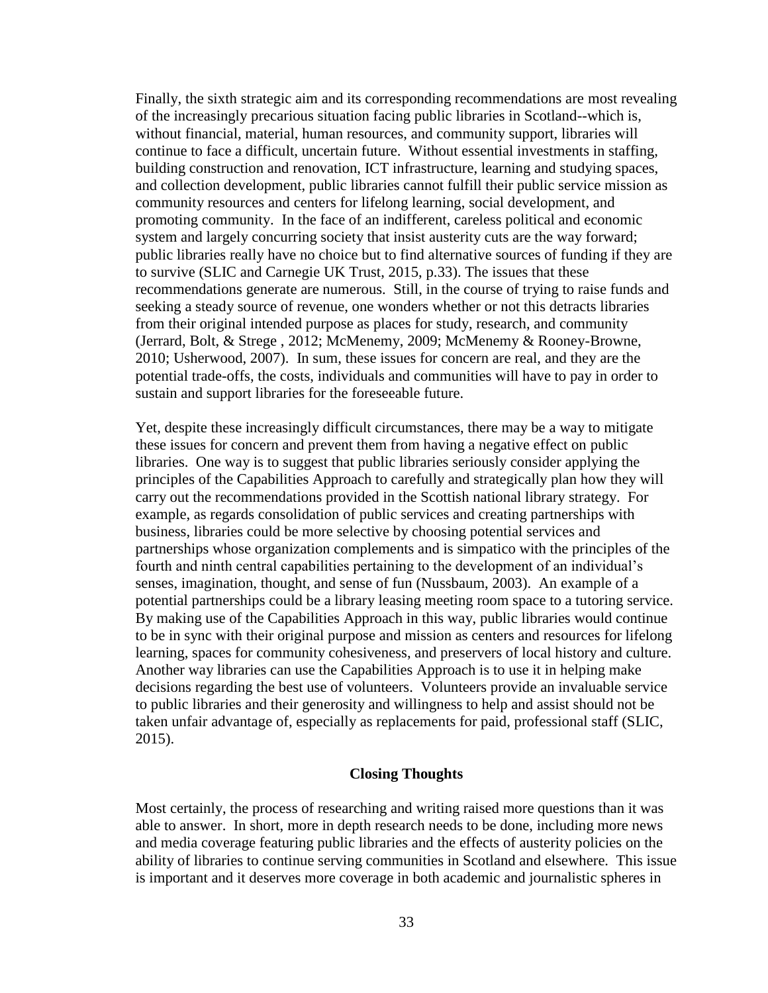Finally, the sixth strategic aim and its corresponding recommendations are most revealing of the increasingly precarious situation facing public libraries in Scotland--which is, without financial, material, human resources, and community support, libraries will continue to face a difficult, uncertain future. Without essential investments in staffing, building construction and renovation, ICT infrastructure, learning and studying spaces, and collection development, public libraries cannot fulfill their public service mission as community resources and centers for lifelong learning, social development, and promoting community. In the face of an indifferent, careless political and economic system and largely concurring society that insist austerity cuts are the way forward; public libraries really have no choice but to find alternative sources of funding if they are to survive (SLIC and Carnegie UK Trust, 2015, p.33). The issues that these recommendations generate are numerous. Still, in the course of trying to raise funds and seeking a steady source of revenue, one wonders whether or not this detracts libraries from their original intended purpose as places for study, research, and community (Jerrard, Bolt, & Strege , 2012; McMenemy, 2009; McMenemy & Rooney-Browne, 2010; Usherwood, 2007). In sum, these issues for concern are real, and they are the potential trade-offs, the costs, individuals and communities will have to pay in order to sustain and support libraries for the foreseeable future.

Yet, despite these increasingly difficult circumstances, there may be a way to mitigate these issues for concern and prevent them from having a negative effect on public libraries. One way is to suggest that public libraries seriously consider applying the principles of the Capabilities Approach to carefully and strategically plan how they will carry out the recommendations provided in the Scottish national library strategy. For example, as regards consolidation of public services and creating partnerships with business, libraries could be more selective by choosing potential services and partnerships whose organization complements and is simpatico with the principles of the fourth and ninth central capabilities pertaining to the development of an individual's senses, imagination, thought, and sense of fun (Nussbaum, 2003). An example of a potential partnerships could be a library leasing meeting room space to a tutoring service. By making use of the Capabilities Approach in this way, public libraries would continue to be in sync with their original purpose and mission as centers and resources for lifelong learning, spaces for community cohesiveness, and preservers of local history and culture. Another way libraries can use the Capabilities Approach is to use it in helping make decisions regarding the best use of volunteers. Volunteers provide an invaluable service to public libraries and their generosity and willingness to help and assist should not be taken unfair advantage of, especially as replacements for paid, professional staff (SLIC, 2015).

## **Closing Thoughts**

Most certainly, the process of researching and writing raised more questions than it was able to answer. In short, more in depth research needs to be done, including more news and media coverage featuring public libraries and the effects of austerity policies on the ability of libraries to continue serving communities in Scotland and elsewhere. This issue is important and it deserves more coverage in both academic and journalistic spheres in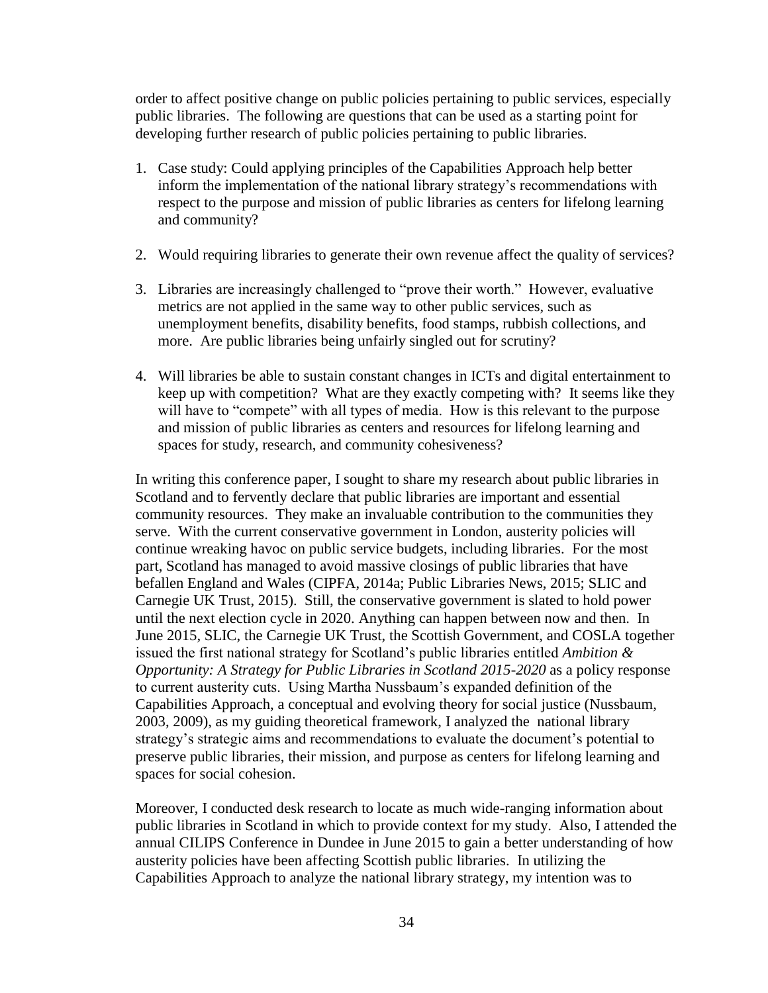order to affect positive change on public policies pertaining to public services, especially public libraries. The following are questions that can be used as a starting point for developing further research of public policies pertaining to public libraries.

- 1. Case study: Could applying principles of the Capabilities Approach help better inform the implementation of the national library strategy's recommendations with respect to the purpose and mission of public libraries as centers for lifelong learning and community?
- 2. Would requiring libraries to generate their own revenue affect the quality of services?
- 3. Libraries are increasingly challenged to "prove their worth." However, evaluative metrics are not applied in the same way to other public services, such as unemployment benefits, disability benefits, food stamps, rubbish collections, and more. Are public libraries being unfairly singled out for scrutiny?
- 4. Will libraries be able to sustain constant changes in ICTs and digital entertainment to keep up with competition? What are they exactly competing with? It seems like they will have to "compete" with all types of media. How is this relevant to the purpose and mission of public libraries as centers and resources for lifelong learning and spaces for study, research, and community cohesiveness?

In writing this conference paper, I sought to share my research about public libraries in Scotland and to fervently declare that public libraries are important and essential community resources. They make an invaluable contribution to the communities they serve. With the current conservative government in London, austerity policies will continue wreaking havoc on public service budgets, including libraries. For the most part, Scotland has managed to avoid massive closings of public libraries that have befallen England and Wales (CIPFA, 2014a; Public Libraries News, 2015; SLIC and Carnegie UK Trust, 2015). Still, the conservative government is slated to hold power until the next election cycle in 2020. Anything can happen between now and then. In June 2015, SLIC, the Carnegie UK Trust, the Scottish Government, and COSLA together issued the first national strategy for Scotland's public libraries entitled *Ambition & Opportunity: A Strategy for Public Libraries in Scotland 2015-2020* as a policy response to current austerity cuts. Using Martha Nussbaum's expanded definition of the Capabilities Approach, a conceptual and evolving theory for social justice (Nussbaum, 2003, 2009), as my guiding theoretical framework, I analyzed the national library strategy's strategic aims and recommendations to evaluate the document's potential to preserve public libraries, their mission, and purpose as centers for lifelong learning and spaces for social cohesion.

Moreover, I conducted desk research to locate as much wide-ranging information about public libraries in Scotland in which to provide context for my study. Also, I attended the annual CILIPS Conference in Dundee in June 2015 to gain a better understanding of how austerity policies have been affecting Scottish public libraries. In utilizing the Capabilities Approach to analyze the national library strategy, my intention was to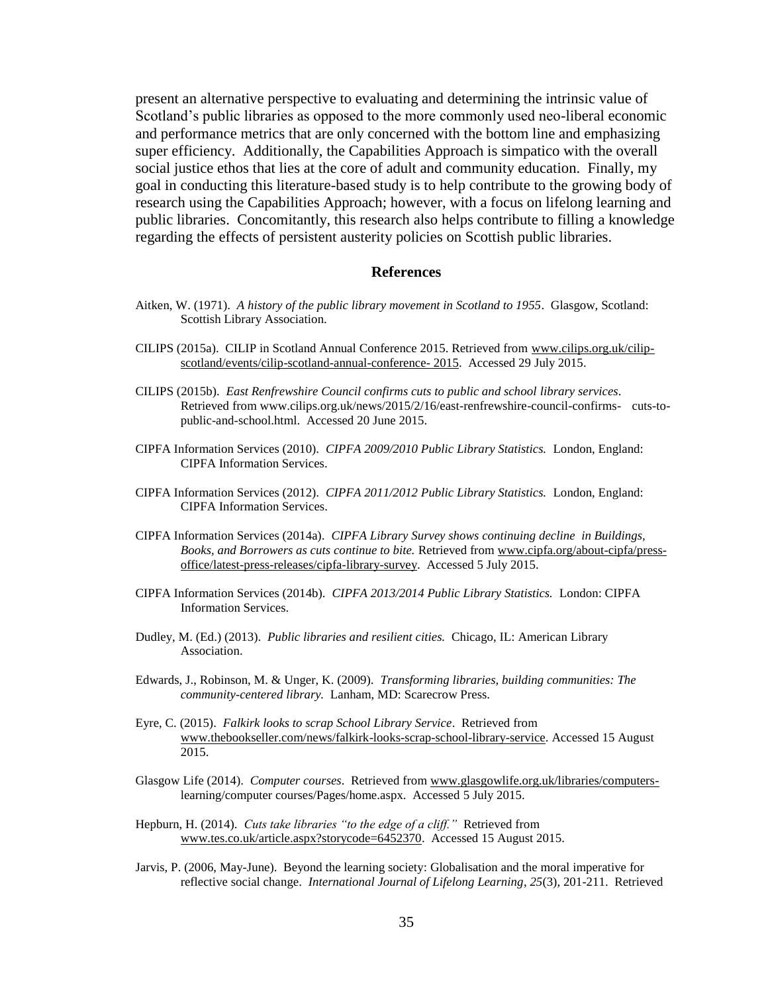present an alternative perspective to evaluating and determining the intrinsic value of Scotland's public libraries as opposed to the more commonly used neo-liberal economic and performance metrics that are only concerned with the bottom line and emphasizing super efficiency. Additionally, the Capabilities Approach is simpatico with the overall social justice ethos that lies at the core of adult and community education. Finally, my goal in conducting this literature-based study is to help contribute to the growing body of research using the Capabilities Approach; however, with a focus on lifelong learning and public libraries. Concomitantly, this research also helps contribute to filling a knowledge regarding the effects of persistent austerity policies on Scottish public libraries.

#### **References**

- Aitken, W. (1971). *A history of the public library movement in Scotland to 1955*. Glasgow, Scotland: Scottish Library Association.
- CILIPS (2015a). CILIP in Scotland Annual Conference 2015. Retrieved from [www.cilips.org.uk/cilip](http://www.cilips.org.uk/cilip-scotland/events/cilip-scotland-annual-conference-%202015)[scotland/events/cilip-scotland-annual-conference-](http://www.cilips.org.uk/cilip-scotland/events/cilip-scotland-annual-conference-%202015) 2015. Accessed 29 July 2015.
- CILIPS (2015b). *East Renfrewshire Council confirms cuts to public and school library services*. Retrieved from www.cilips.org.uk/news/2015/2/16/east-renfrewshire-council-confirms- cuts-topublic-and-school.html. Accessed 20 June 2015.
- CIPFA Information Services (2010). *CIPFA 2009/2010 Public Library Statistics.* London, England: CIPFA Information Services.
- CIPFA Information Services (2012). *CIPFA 2011/2012 Public Library Statistics.* London, England: CIPFA Information Services.
- CIPFA Information Services (2014a). *CIPFA Library Survey shows continuing decline in Buildings, Books, and Borrowers as cuts continue to bite.* Retrieved fro[m www.cipfa.org/about-cipfa/press](http://www.cipfa.org/about-cipfa/press-office/latest-press-releases/cipfa-library-survey)[office/latest-press-releases/cipfa-library-survey.](http://www.cipfa.org/about-cipfa/press-office/latest-press-releases/cipfa-library-survey) Accessed 5 July 2015.
- CIPFA Information Services (2014b). *CIPFA 2013/2014 Public Library Statistics.* London: CIPFA Information Services.
- Dudley, M. (Ed.) (2013). *Public libraries and resilient cities.* Chicago, IL: American Library Association.
- Edwards, J., Robinson, M. & Unger, K. (2009). *Transforming libraries, building communities: The community-centered library.* Lanham, MD: Scarecrow Press.
- Eyre, C. (2015). *Falkirk looks to scrap School Library Service*. Retrieved from [www.thebookseller.com/news/falkirk-looks-scrap-school-library-service.](http://www.thebookseller.com/news/falkirk-looks-scrap-school-library-service) Accessed 15 August 2015.
- Glasgow Life (2014). *Computer courses*. Retrieved from [www.glasgowlife.org.uk/libraries/computers](http://www.glasgowlife.org.uk/libraries/computers-)learning/computer courses/Pages/home.aspx. Accessed 5 July 2015.
- Hepburn, H. (2014). *Cuts take libraries "to the edge of a cliff."* Retrieved from [www.tes.co.uk/article.aspx?storycode=6452370.](http://www.tes.co.uk/article.aspx?storycode=6452370) Accessed 15 August 2015.
- Jarvis, P. (2006, May-June). Beyond the learning society: Globalisation and the moral imperative for reflective social change. *International Journal of Lifelong Learning*, *25*(3), 201-211. Retrieved